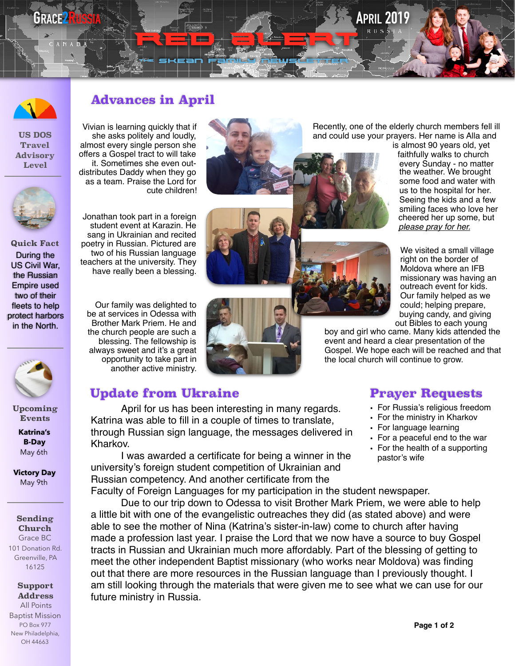## **GRACE2RUSSIA APRIL 2019**



**US DOS Travel Advisory Level** 

**Quick Fact** 

During the US Civil War, the Russian Empire used two of their fleets to help protect harbors in the North.

> **Upcoming Events**

> > **Katrina's B-Day** May 6th

**Victory Day** May 9th

**Sending Church** Grace BC 101 Donation Rd. Greenville, PA 16125

**Support Address** All Points Baptist Mission PO Box 977 New Philadelphia, OH 44663



Vivian is learning quickly that if she asks politely and loudly, almost every single person she offers a Gospel tract to will take it. Sometimes she even outdistributes Daddy when they go as a team. Praise the Lord for cute children!



Our family was delighted to be at services in Odessa with Brother Mark Priem. He and the church people are such a blessing. The fellowship is always sweet and it's a great opportunity to take part in another active ministry.



th<sup>e</sup> Skean family Newsletter

RED GILLEN

Recently, one of the elderly church members fell ill and could use your prayers. Her name is Alla and

is almost 90 years old, yet faithfully walks to church every Sunday - no matter the weather. We brought some food and water with us to the hospital for her. Seeing the kids and a few smiling faces who love her cheered her up some, but *please pray for her.*

We visited a small village right on the border of Moldova where an IFB missionary was having an outreach event for kids. Our family helped as we could; helping prepare, buying candy, and giving out Bibles to each young

boy and girl who came. Many kids attended the event and heard a clear presentation of the Gospel. We hope each will be reached and that the local church will continue to grow.

## **Update from Ukraine Prayer Requests**

April for us has been interesting in many regards. Katrina was able to fill in a couple of times to translate, through Russian sign language, the messages delivered in Kharkov.

I was awarded a certificate for being a winner in the university's foreign student competition of Ukrainian and Russian competency. And another certificate from the

Faculty of Foreign Languages for my participation in the student newspaper.

Due to our trip down to Odessa to visit Brother Mark Priem, we were able to help a little bit with one of the evangelistic outreaches they did (as stated above) and were able to see the mother of Nina (Katrina's sister-in-law) come to church after having made a profession last year. I praise the Lord that we now have a source to buy Gospel tracts in Russian and Ukrainian much more affordably. Part of the blessing of getting to meet the other independent Baptist missionary (who works near Moldova) was finding out that there are more resources in the Russian language than I previously thought. I am still looking through the materials that were given me to see what we can use for our future ministry in Russia.

- For Russia's religious freedom
- For the ministry in Kharkov
- For language learning
- For a peaceful end to the war
- For the health of a supporting pastor's wife